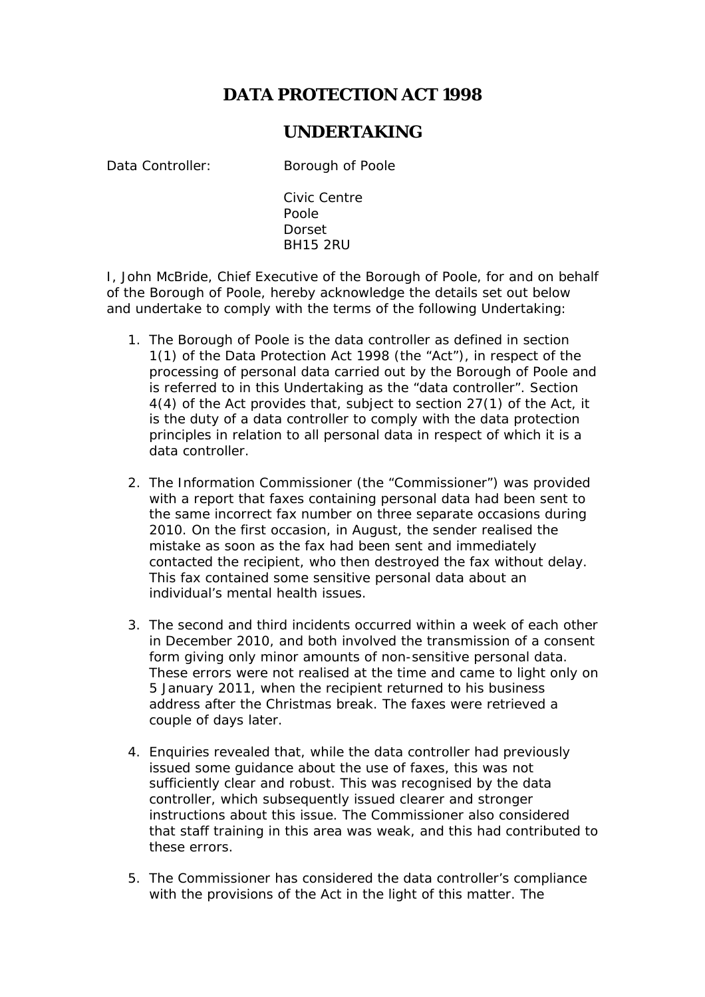## **DATA PROTECTION ACT 1998**

## **UNDERTAKING**

Data Controller: Borough of Poole

Civic Centre Poole Dorset BH15 2RU

I, John McBride, Chief Executive of the Borough of Poole, for and on behalf of the Borough of Poole, hereby acknowledge the details set out below and undertake to comply with the terms of the following Undertaking:

- 1. The Borough of Poole is the data controller as defined in section 1(1) of the Data Protection Act 1998 (the "Act"), in respect of the processing of personal data carried out by the Borough of Poole and is referred to in this Undertaking as the "data controller". Section 4(4) of the Act provides that, subject to section 27(1) of the Act, it is the duty of a data controller to comply with the data protection principles in relation to all personal data in respect of which it is a data controller.
- 2. The Information Commissioner (the "Commissioner") was provided with a report that faxes containing personal data had been sent to the same incorrect fax number on three separate occasions during 2010. On the first occasion, in August, the sender realised the mistake as soon as the fax had been sent and immediately contacted the recipient, who then destroyed the fax without delay. This fax contained some sensitive personal data about an individual's mental health issues.
- 3. The second and third incidents occurred within a week of each other in December 2010, and both involved the transmission of a consent form giving only minor amounts of non-sensitive personal data. These errors were not realised at the time and came to light only on 5 January 2011, when the recipient returned to his business address after the Christmas break. The faxes were retrieved a couple of days later.
- 4. Enquiries revealed that, while the data controller had previously issued some guidance about the use of faxes, this was not sufficiently clear and robust. This was recognised by the data controller, which subsequently issued clearer and stronger instructions about this issue. The Commissioner also considered that staff training in this area was weak, and this had contributed to these errors.
- 5. The Commissioner has considered the data controller's compliance with the provisions of the Act in the light of this matter. The